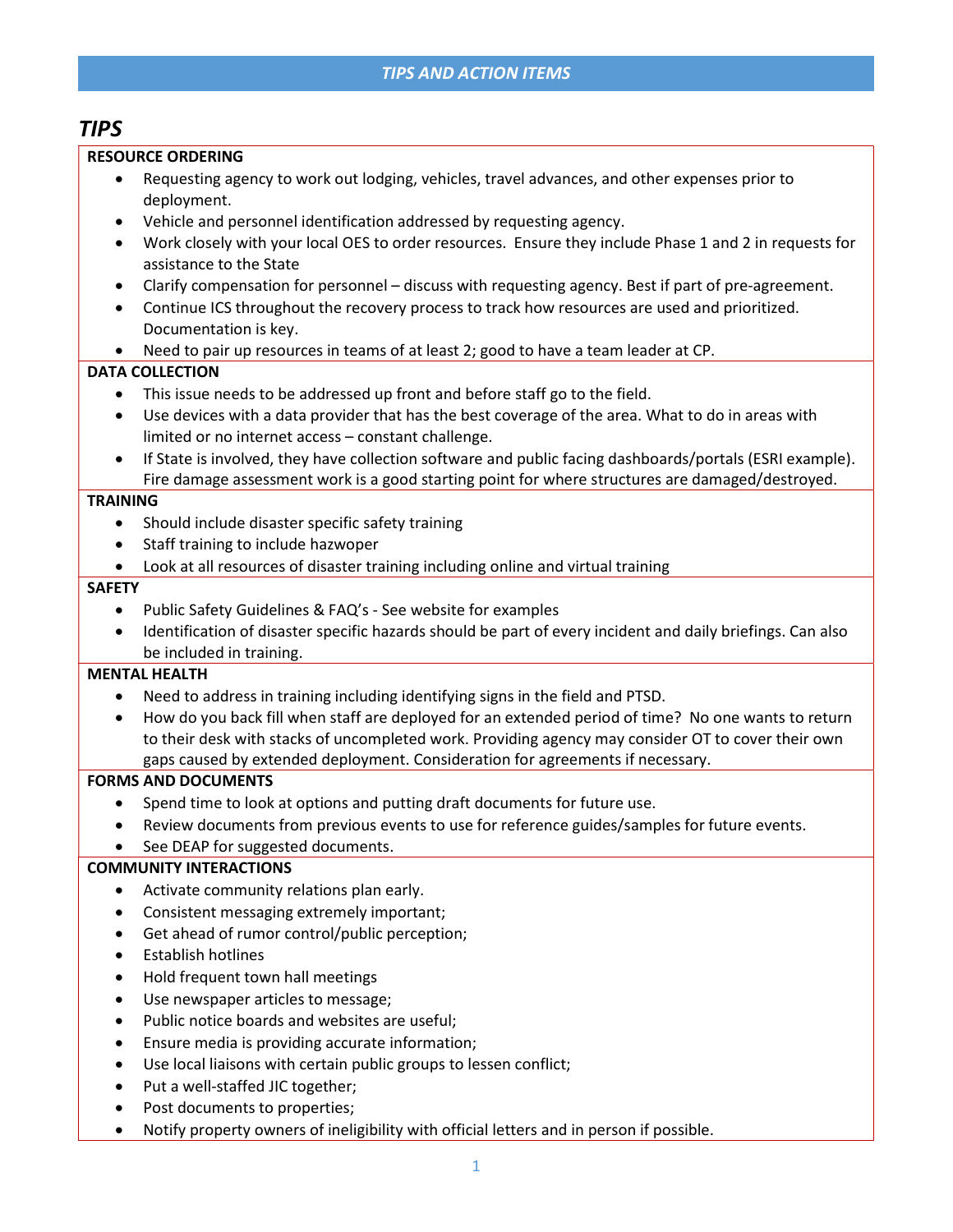## TIPS AND ACTION ITEMS

# TIPS

#### RESOURCE ORDERING

- Requesting agency to work out lodging, vehicles, travel advances, and other expenses prior to deployment.
- Vehicle and personnel identification addressed by requesting agency.
- Work closely with your local OES to order resources. Ensure they include Phase 1 and 2 in requests for assistance to the State
- Clarify compensation for personnel discuss with requesting agency. Best if part of pre-agreement.
- Continue ICS throughout the recovery process to track how resources are used and prioritized. Documentation is key.
- Need to pair up resources in teams of at least 2; good to have a team leader at CP.

#### DATA COLLECTION

- This issue needs to be addressed up front and before staff go to the field.
- Use devices with a data provider that has the best coverage of the area. What to do in areas with limited or no internet access – constant challenge.
- If State is involved, they have collection software and public facing dashboards/portals (ESRI example). Fire damage assessment work is a good starting point for where structures are damaged/destroyed.

#### **TRAINING**

- Should include disaster specific safety training
- Staff training to include hazwoper
- Look at all resources of disaster training including online and virtual training

#### **SAFETY**

- Public Safety Guidelines & FAQ's See website for examples
- Identification of disaster specific hazards should be part of every incident and daily briefings. Can also be included in training.

#### MENTAL HEALTH

- Need to address in training including identifying signs in the field and PTSD.
- How do you back fill when staff are deployed for an extended period of time? No one wants to return to their desk with stacks of uncompleted work. Providing agency may consider OT to cover their own gaps caused by extended deployment. Consideration for agreements if necessary.

#### FORMS AND DOCUMENTS

- Spend time to look at options and putting draft documents for future use.
- Review documents from previous events to use for reference guides/samples for future events.
- See DEAP for suggested documents.

#### COMMUNITY INTERACTIONS

- Activate community relations plan early.
- Consistent messaging extremely important;
- Get ahead of rumor control/public perception;
- Establish hotlines
- Hold frequent town hall meetings
- Use newspaper articles to message;
- Public notice boards and websites are useful;
- Ensure media is providing accurate information;
- Use local liaisons with certain public groups to lessen conflict;
- Put a well-staffed JIC together;
- Post documents to properties;
- Notify property owners of ineligibility with official letters and in person if possible.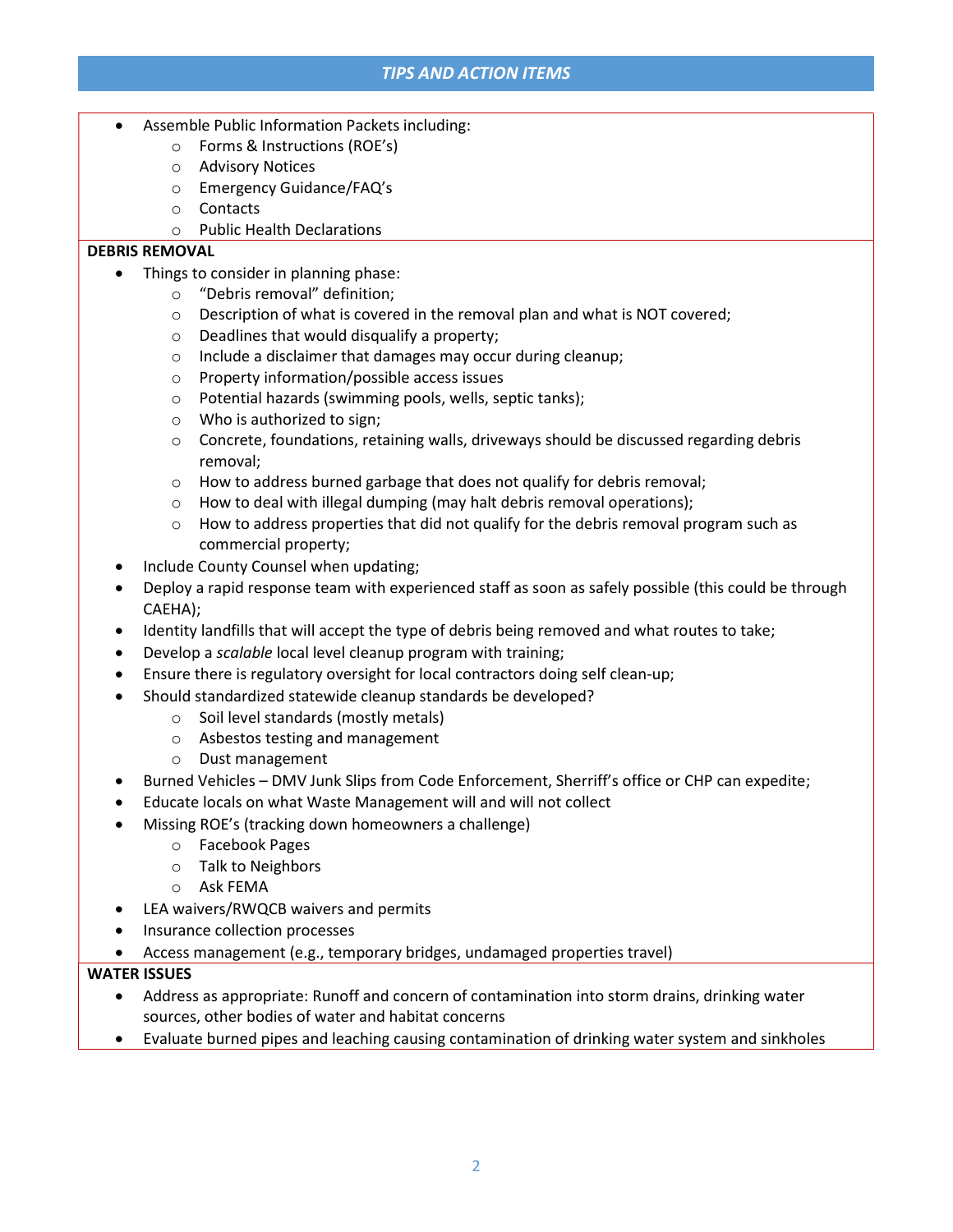## TIPS AND ACTION ITEMS

- Assemble Public Information Packets including:
	- o Forms & Instructions (ROE's)
	- o Advisory Notices
	- o Emergency Guidance/FAQ's
	- o Contacts
	- o Public Health Declarations

#### DEBRIS REMOVAL

- Things to consider in planning phase:
	- o "Debris removal" definition;
	- $\circ$  Description of what is covered in the removal plan and what is NOT covered;
	- o Deadlines that would disqualify a property;
	- o Include a disclaimer that damages may occur during cleanup;
	- o Property information/possible access issues
	- o Potential hazards (swimming pools, wells, septic tanks);
	- o Who is authorized to sign;
	- $\circ$  Concrete, foundations, retaining walls, driveways should be discussed regarding debris removal;
	- o How to address burned garbage that does not qualify for debris removal;
	- o How to deal with illegal dumping (may halt debris removal operations);
	- $\circ$  How to address properties that did not qualify for the debris removal program such as commercial property;
- Include County Counsel when updating;
- Deploy a rapid response team with experienced staff as soon as safely possible (this could be through CAEHA);
- Identity landfills that will accept the type of debris being removed and what routes to take;
- Develop a scalable local level cleanup program with training;
- Ensure there is regulatory oversight for local contractors doing self clean-up;
- Should standardized statewide cleanup standards be developed?
	- o Soil level standards (mostly metals)
	- o Asbestos testing and management
	- o Dust management
- Burned Vehicles DMV Junk Slips from Code Enforcement, Sherriff's office or CHP can expedite;
- Educate locals on what Waste Management will and will not collect
- Missing ROE's (tracking down homeowners a challenge)
	- o Facebook Pages
	- o Talk to Neighbors
	- o Ask FEMA
- LEA waivers/RWQCB waivers and permits
- Insurance collection processes
- Access management (e.g., temporary bridges, undamaged properties travel)

#### WATER ISSUES

- Address as appropriate: Runoff and concern of contamination into storm drains, drinking water sources, other bodies of water and habitat concerns
- Evaluate burned pipes and leaching causing contamination of drinking water system and sinkholes